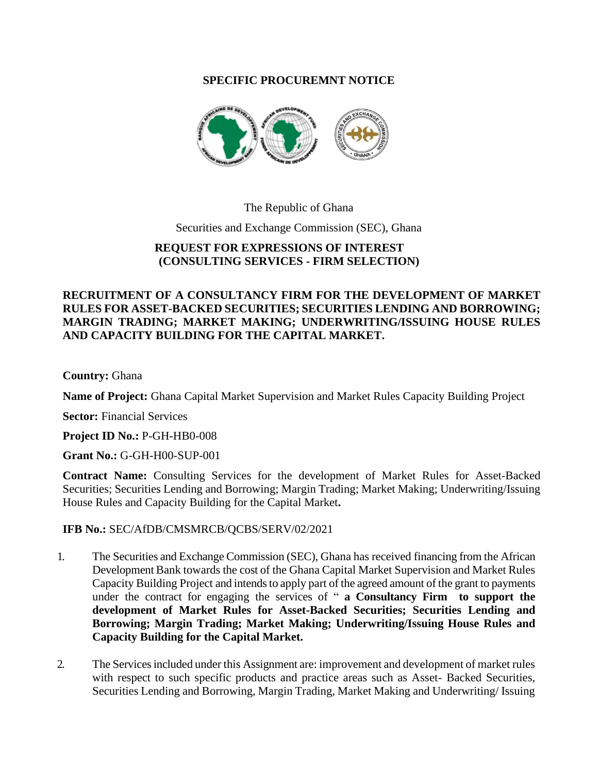## **SPECIFIC PROCUREMNT NOTICE**



The Republic of Ghana

Securities and Exchange Commission (SEC), Ghana

## **REQUEST FOR EXPRESSIONS OF INTEREST (CONSULTING SERVICES - FIRM SELECTION)**

## **RECRUITMENT OF A CONSULTANCY FIRM FOR THE DEVELOPMENT OF MARKET RULES FOR ASSET-BACKED SECURITIES; SECURITIES LENDING AND BORROWING; MARGIN TRADING; MARKET MAKING; UNDERWRITING/ISSUING HOUSE RULES AND CAPACITY BUILDING FOR THE CAPITAL MARKET.**

**Country:** Ghana

**Name of Project:** Ghana Capital Market Supervision and Market Rules Capacity Building Project

**Sector:** Financial Services

**Project ID No.:** P-GH-HB0-008

**Grant No.:** G-GH-H00-SUP-001

**Contract Name:** Consulting Services for the development of Market Rules for Asset-Backed Securities; Securities Lending and Borrowing; Margin Trading; Market Making; Underwriting/Issuing House Rules and Capacity Building for the Capital Market**.**

## **IFB No.:** SEC/AfDB/CMSMRCB/QCBS/SERV/02/2021

- 1. The Securities and Exchange Commission (SEC), Ghana has received financing from the African Development Bank towards the cost of the Ghana Capital Market Supervision and Market Rules Capacity Building Project and intends to apply part of the agreed amount of the grant to payments under the contract for engaging the services of " **a Consultancy Firm to support the development of Market Rules for Asset-Backed Securities; Securities Lending and Borrowing; Margin Trading; Market Making; Underwriting/Issuing House Rules and Capacity Building for the Capital Market.**
- 2. The Services included under this Assignment are: improvement and development of market rules with respect to such specific products and practice areas such as Asset- Backed Securities, Securities Lending and Borrowing, Margin Trading, Market Making and Underwriting/ Issuing